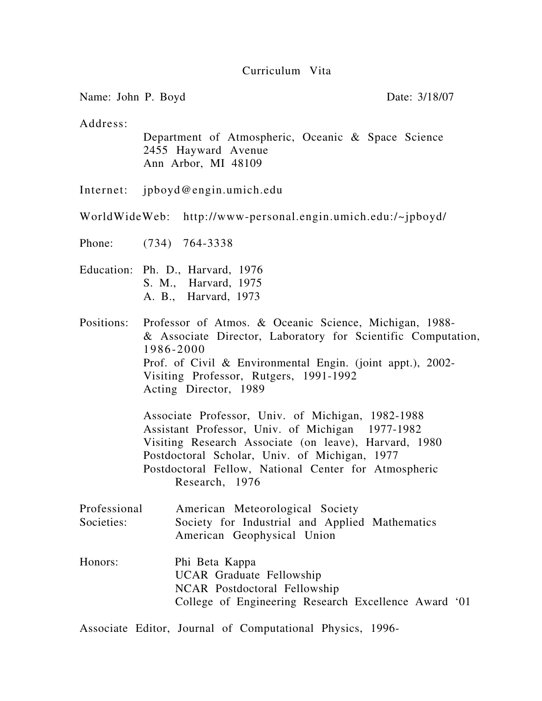### Curriculum Vita

Name: John P. Boyd Date: 3/18/07

Address:

 Department of Atmospheric, Oceanic & Space Science 2455 Hayward Avenue Ann Arbor, MI 48109

Internet: jpboyd@engin.umich.edu

WorldWideWeb: http://www-personal.engin.umich.edu:/~jpboyd/

Phone: (734) 764-3338

- Education: Ph. D., Harvard, 1976 S. M., Harvard, 1975
	- A. B., Harvard, 1973

Positions: Professor of Atmos. & Oceanic Science, Michigan, 1988- & Associate Director, Laboratory for Scientific Computation, 1986-2000 Prof. of Civil & Environmental Engin. (joint appt.), 2002- Visiting Professor, Rutgers, 1991-1992 Acting Director, 1989

> Associate Professor, Univ. of Michigan, 1982-1988 Assistant Professor, Univ. of Michigan 1977-1982 Visiting Research Associate (on leave), Harvard, 1980 Postdoctoral Scholar, Univ. of Michigan, 1977 Postdoctoral Fellow, National Center for Atmospheric Research, 1976

- Professional American Meteorological Society Societies: Society for Industrial and Applied Mathematics American Geophysical Union
- Honors: Phi Beta Kappa UCAR Graduate Fellowship NCAR Postdoctoral Fellowship College of Engineering Research Excellence Award '01

Associate Editor, Journal of Computational Physics, 1996-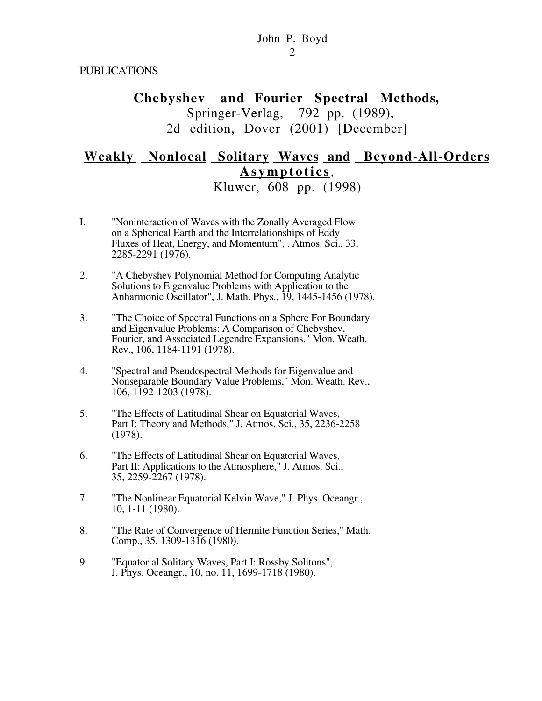PUBLICATIONS

# **Chebyshev and Fourier Spectral Methods,** Springer-Verlag, 792 pp. (1989), 2d edition, Dover (2001) [December]

# **Weakly Nonlocal Solitary Waves and Beyond-All-Orders Asymptotics**,

Kluwer, 608 pp. (1998)

- I. "Noninteraction of Waves with the Zonally Averaged Flow on a Spherical Earth and the Interrelationships of Eddy Fluxes of Heat, Energy, and Momentum", . Atmos. Sci., 33, 2285-2291 (1976).
- 2. "A Chebyshev Polynomial Method for Computing Analytic Solutions to Eigenvalue Problems with Application to the Anharmonic Oscillator", J. Math. Phys., 19, 1445-1456 (1978).
- 3. "The Choice of Spectral Functions on a Sphere For Boundary and Eigenvalue Problems: A Comparison of Chebyshev, Fourier, and Associated Legendre Expansions," Mon. Weath. Rev., 106, 1184-1191 (1978).
- 4. "Spectral and Pseudospectral Methods for Eigenvalue and Nonseparable Boundary Value Problems," Mon. Weath. Rev., 106, 1192-1203 (1978).
- 5. "The Effects of Latitudinal Shear on Equatorial Waves, Part I: Theory and Methods," J. Atmos. Sci., 35, 2236-2258 (1978).
- 6. "The Effects of Latitudinal Shear on Equatorial Waves, Part II: Applications to the Atmosphere," J. Atmos. Sci., 35, 2259-2267 (1978).
- 7. "The Nonlinear Equatorial Kelvin Wave," J. Phys. Oceangr., 10, 1-11 (1980).
- 8. "The Rate of Convergence of Hermite Function Series," Math. Comp., 35, 1309-1316 (1980).
- 9. "Equatorial Solitary Waves, Part I: Rossby Solitons", J. Phys. Oceangr., 10, no. 11, 1699-1718 (1980).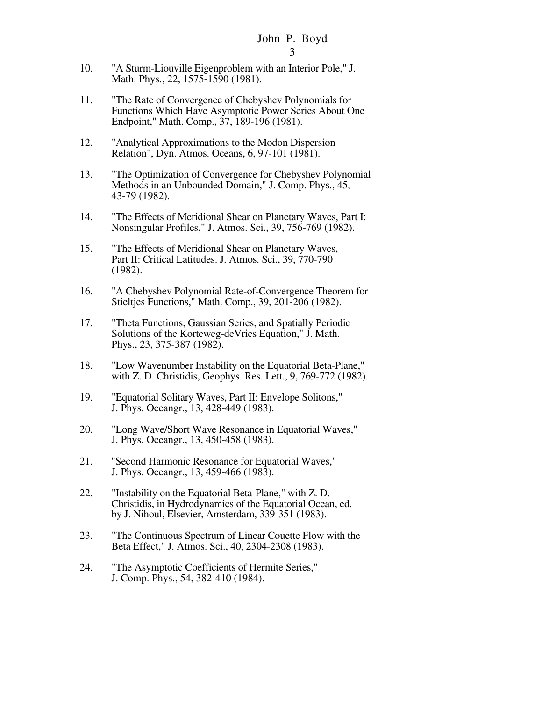- 10. "A Sturm-Liouville Eigenproblem with an Interior Pole," J. Math. Phys., 22, 1575-1590 (1981).
- 11. "The Rate of Convergence of Chebyshev Polynomials for Functions Which Have Asymptotic Power Series About One Endpoint," Math. Comp., 37, 189-196 (1981).
- 12. "Analytical Approximations to the Modon Dispersion Relation", Dyn. Atmos. Oceans, 6, 97-101 (1981).
- 13. "The Optimization of Convergence for Chebyshev Polynomial Methods in an Unbounded Domain," J. Comp. Phys., 45, 43-79 (1982).
- 14. "The Effects of Meridional Shear on Planetary Waves, Part I: Nonsingular Profiles," J. Atmos. Sci., 39, 756-769 (1982).
- 15. "The Effects of Meridional Shear on Planetary Waves, Part II: Critical Latitudes. J. Atmos. Sci., 39, 770-790 (1982).
- 16. "A Chebyshev Polynomial Rate-of-Convergence Theorem for Stieltjes Functions," Math. Comp., 39, 201-206 (1982).
- 17. "Theta Functions, Gaussian Series, and Spatially Periodic Solutions of the Korteweg-deVries Equation," J. Math. Phys., 23, 375-387 (1982).
- 18. "Low Wavenumber Instability on the Equatorial Beta-Plane," with Z. D. Christidis, Geophys. Res. Lett., 9, 769-772 (1982).
- 19. "Equatorial Solitary Waves, Part II: Envelope Solitons," J. Phys. Oceangr., 13, 428-449 (1983).
- 20. "Long Wave/Short Wave Resonance in Equatorial Waves," J. Phys. Oceangr., 13, 450-458 (1983).
- 21. "Second Harmonic Resonance for Equatorial Waves," J. Phys. Oceangr., 13, 459-466 (1983).
- 22. "Instability on the Equatorial Beta-Plane," with Z. D. Christidis, in Hydrodynamics of the Equatorial Ocean, ed. by J. Nihoul, Elsevier, Amsterdam, 339-351 (1983).
- 23. "The Continuous Spectrum of Linear Couette Flow with the Beta Effect," J. Atmos. Sci., 40, 2304-2308 (1983).
- 24. "The Asymptotic Coefficients of Hermite Series," J. Comp. Phys., 54, 382-410 (1984).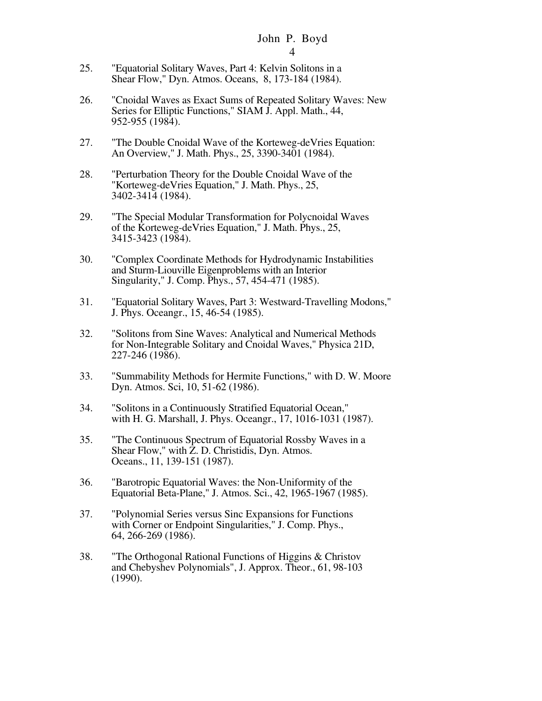- 25. "Equatorial Solitary Waves, Part 4: Kelvin Solitons in a Shear Flow," Dyn. Atmos. Oceans, 8, 173-184 (1984).
- 26. "Cnoidal Waves as Exact Sums of Repeated Solitary Waves: New Series for Elliptic Functions," SIAM J. Appl. Math., 44, 952-955 (1984).
- 27. "The Double Cnoidal Wave of the Korteweg-deVries Equation: An Overview," J. Math. Phys., 25, 3390-3401 (1984).
- 28. "Perturbation Theory for the Double Cnoidal Wave of the "Korteweg-deVries Equation," J. Math. Phys., 25, 3402-3414 (1984).
- 29. "The Special Modular Transformation for Polycnoidal Waves of the Korteweg-deVries Equation," J. Math. Phys., 25, 3415-3423 (1984).
- 30. "Complex Coordinate Methods for Hydrodynamic Instabilities and Sturm-Liouville Eigenproblems with an Interior Singularity," J. Comp. Phys., 57, 454-471 (1985).
- 31. "Equatorial Solitary Waves, Part 3: Westward-Travelling Modons," J. Phys. Oceangr., 15, 46-54 (1985).
- 32. "Solitons from Sine Waves: Analytical and Numerical Methods for Non-Integrable Solitary and Cnoidal Waves," Physica 21D, 227-246 (1986).
- 33. "Summability Methods for Hermite Functions," with D. W. Moore Dyn. Atmos. Sci, 10, 51-62 (1986).
- 34. "Solitons in a Continuously Stratified Equatorial Ocean," with H. G. Marshall, J. Phys. Oceangr., 17, 1016-1031 (1987).
- 35. "The Continuous Spectrum of Equatorial Rossby Waves in a Shear Flow," with Z. D. Christidis, Dyn. Atmos. Oceans., 11, 139-151 (1987).
- 36. "Barotropic Equatorial Waves: the Non-Uniformity of the Equatorial Beta-Plane," J. Atmos. Sci., 42, 1965-1967 (1985).
- 37. "Polynomial Series versus Sinc Expansions for Functions with Corner or Endpoint Singularities," J. Comp. Phys., 64, 266-269 (1986).
- 38. "The Orthogonal Rational Functions of Higgins & Christov and Chebyshev Polynomials", J. Approx. Theor., 61, 98-103 (1990).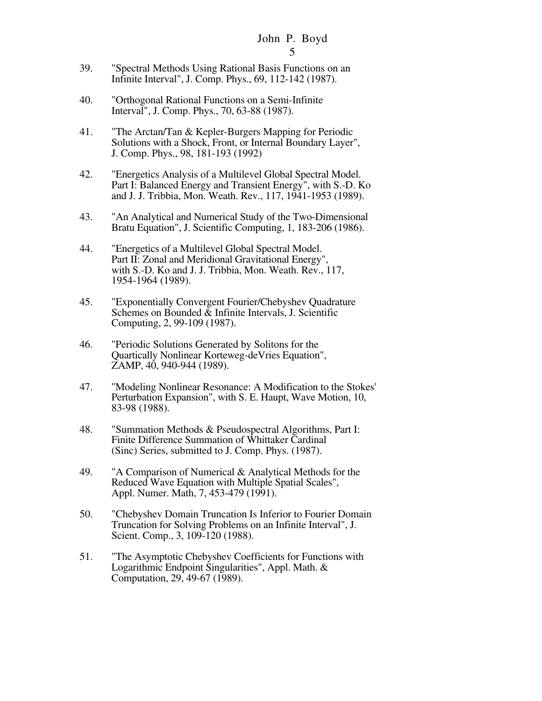- 39. "Spectral Methods Using Rational Basis Functions on an Infinite Interval", J. Comp. Phys., 69, 112-142 (1987).
- 40. "Orthogonal Rational Functions on a Semi-Infinite Interval", J. Comp. Phys., 70, 63-88 (1987).
- 41. "The Arctan/Tan & Kepler-Burgers Mapping for Periodic Solutions with a Shock, Front, or Internal Boundary Layer", J. Comp. Phys., 98, 181-193 (1992)
- 42. "Energetics Analysis of a Multilevel Global Spectral Model. Part I: Balanced Energy and Transient Energy", with S.-D. Ko and J. J. Tribbia, Mon. Weath. Rev., 117, 1941-1953 (1989).
- 43. "An Analytical and Numerical Study of the Two-Dimensional Bratu Equation", J. Scientific Computing, 1, 183-206 (1986).
- 44. "Energetics of a Multilevel Global Spectral Model. Part II: Zonal and Meridional Gravitational Energy", with S.-D. Ko and J. J. Tribbia, Mon. Weath. Rev., 117, 1954-1964 (1989).
- 45. "Exponentially Convergent Fourier/Chebyshev Quadrature Schemes on Bounded  $\bar{\&}$  Infinite Intervals, J. Scientific Computing, 2, 99-109 (1987).
- 46. "Periodic Solutions Generated by Solitons for the Quartically Nonlinear Korteweg-deVries Equation", ZAMP, 40, 940-944 (1989).
- 47. "Modeling Nonlinear Resonance: A Modification to the Stokes' Perturbation Expansion", with S. E. Haupt, Wave Motion, 10, 83-98 (1988).
- 48. "Summation Methods & Pseudospectral Algorithms, Part I: Finite Difference Summation of Whittaker Cardinal (Sinc) Series, submitted to J. Comp. Phys. (1987).
- 49. "A Comparison of Numerical & Analytical Methods for the Reduced Wave Equation with Multiple Spatial Scales", Appl. Numer. Math, 7, 453-479 (1991).
- 50. "Chebyshev Domain Truncation Is Inferior to Fourier Domain Truncation for Solving Problems on an Infinite Interval", J. Scient. Comp., 3, 109-120 (1988).
- 51. "The Asymptotic Chebyshev Coefficients for Functions with Logarithmic Endpoint Singularities", Appl. Math. & Computation, 29, 49-67 (1989).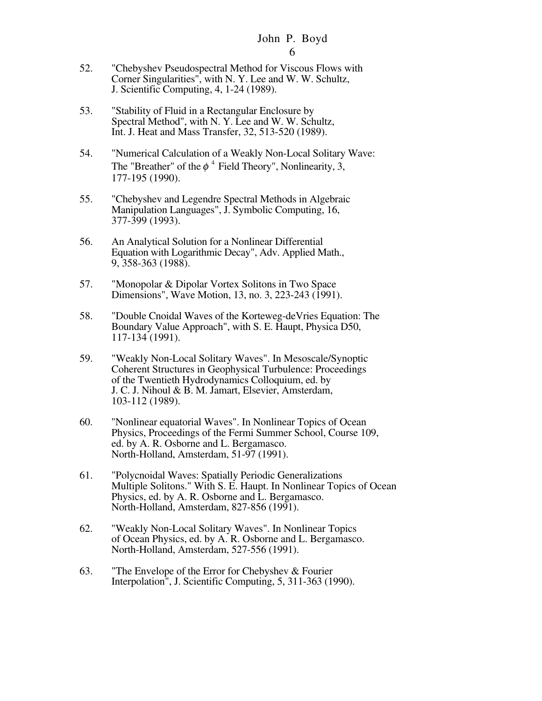- 52. "Chebyshev Pseudospectral Method for Viscous Flows with Corner Singularities", with N. Y. Lee and W. W. Schultz, J. Scientific Computing, 4, 1-24 (1989).
- 53. "Stability of Fluid in a Rectangular Enclosure by Spectral Method", with N. Y. Lee and W. W. Schultz, Int. J. Heat and Mass Transfer, 32, 513-520 (1989).
- 54. "Numerical Calculation of a Weakly Non-Local Solitary Wave: The "Breather" of the  $\phi^4$  Field Theory", Nonlinearity, 3, 177-195 (1990).
- 55. "Chebyshev and Legendre Spectral Methods in Algebraic Manipulation Languages", J. Symbolic Computing, 16, 377-399 (1993).
- 56. An Analytical Solution for a Nonlinear Differential Equation with Logarithmic Decay", Adv. Applied Math., 9, 358-363 (1988).
- 57. "Monopolar & Dipolar Vortex Solitons in Two Space Dimensions", Wave Motion, 13, no. 3, 223-243 (1991).
- 58. "Double Cnoidal Waves of the Korteweg-deVries Equation: The Boundary Value Approach", with S. E. Haupt, Physica D50, 117-134 (1991).
- 59. "Weakly Non-Local Solitary Waves". In Mesoscale/Synoptic Coherent Structures in Geophysical Turbulence: Proceedings of the Twentieth Hydrodynamics Colloquium, ed. by J. C. J. Nihoul & B. M. Jamart, Elsevier, Amsterdam, 103-112 (1989).
- 60. "Nonlinear equatorial Waves". In Nonlinear Topics of Ocean Physics, Proceedings of the Fermi Summer School, Course 109, ed. by A. R. Osborne and L. Bergamasco. North-Holland, Amsterdam, 51-97 (1991).
- 61. "Polycnoidal Waves: Spatially Periodic Generalizations Multiple Solitons." With S. E. Haupt. In Nonlinear Topics of Ocean Physics, ed. by A. R. Osborne and L. Bergamasco. North-Holland, Amsterdam, 827-856 (1991).
- 62. "Weakly Non-Local Solitary Waves". In Nonlinear Topics of Ocean Physics, ed. by A. R. Osborne and L. Bergamasco. North-Holland, Amsterdam, 527-556 (1991).
- 63. "The Envelope of the Error for Chebyshev & Fourier Interpolation", J. Scientific Computing, 5, 311-363 (1990).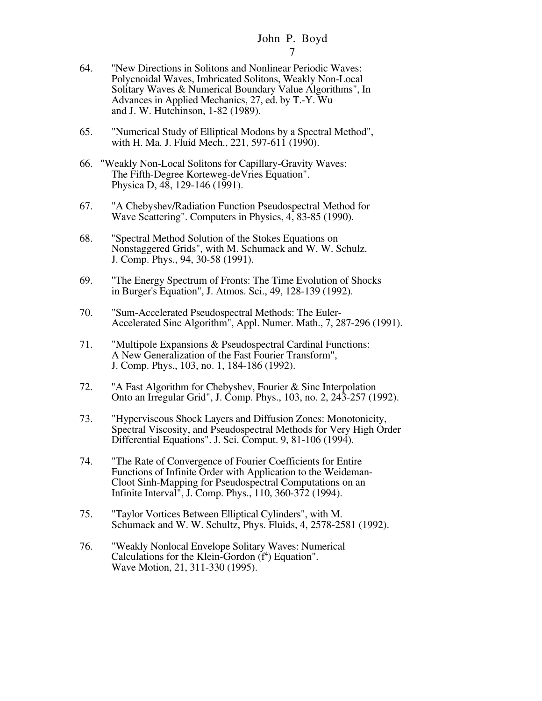- 64. "New Directions in Solitons and Nonlinear Periodic Waves: Polycnoidal Waves, Imbricated Solitons, Weakly Non-Local Solitary Waves & Numerical Boundary Value Algorithms", In Advances in Applied Mechanics, 27, ed. by T.-Y. Wu and J. W. Hutchinson, 1-82 (1989).
- 65. "Numerical Study of Elliptical Modons by a Spectral Method", with H. Ma. J. Fluid Mech., 221, 597-611 (1990).
- 66. "Weakly Non-Local Solitons for Capillary-Gravity Waves: The Fifth-Degree Korteweg-deVries Equation". Physica D, 48, 129-146 (1991).
- 67. "A Chebyshev/Radiation Function Pseudospectral Method for Wave Scattering". Computers in Physics, 4, 83-85 (1990).
- 68. "Spectral Method Solution of the Stokes Equations on Nonstaggered Grids", with M. Schumack and W. W. Schulz. J. Comp. Phys., 94, 30-58 (1991).
- 69. "The Energy Spectrum of Fronts: The Time Evolution of Shocks in Burger's Equation", J. Atmos. Sci., 49, 128-139 (1992).
- 70. "Sum-Accelerated Pseudospectral Methods: The Euler-Accelerated Sinc Algorithm", Appl. Numer. Math., 7, 287-296 (1991).
- 71. "Multipole Expansions & Pseudospectral Cardinal Functions: A New Generalization of the Fast Fourier Transform", J. Comp. Phys., 103, no. 1, 184-186 (1992).
- 72. "A Fast Algorithm for Chebyshev, Fourier & Sinc Interpolation Onto an Irregular Grid", J. Comp. Phys., 103, no. 2, 243-257 (1992).
- 73. "Hyperviscous Shock Layers and Diffusion Zones: Monotonicity, Spectral Viscosity, and Pseudospectral Methods for Very High Order Differential Equations". J. Sci. Comput. 9, 81-106 (1994).
- 74. "The Rate of Convergence of Fourier Coefficients for Entire Functions of Infinite Order with Application to the Weideman-Cloot Sinh-Mapping for Pseudospectral Computations on an Infinite Interval", J. Comp. Phys., 110, 360-372 (1994).
- 75. "Taylor Vortices Between Elliptical Cylinders", with M. Schumack and W. W. Schultz, Phys. Fluids, 4, 2578-2581 (1992).
- 76. "Weakly Nonlocal Envelope Solitary Waves: Numerical Calculations for the Klein-Gordon  $(f<sup>4</sup>)$  Equation". Wave Motion, 21, 311-330 (1995).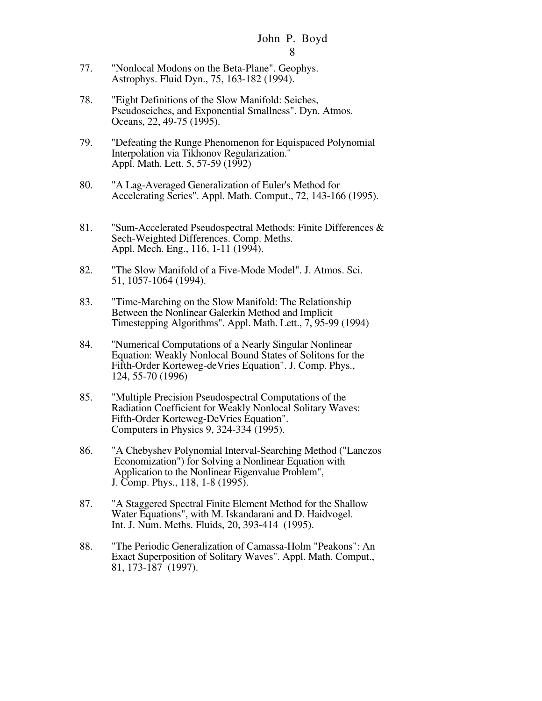- 77. "Nonlocal Modons on the Beta-Plane". Geophys. Astrophys. Fluid Dyn., 75, 163-182 (1994).
- 78. "Eight Definitions of the Slow Manifold: Seiches, Pseudoseiches, and Exponential Smallness". Dyn. Atmos. Oceans, 22, 49-75 (1995).
- 79. "Defeating the Runge Phenomenon for Equispaced Polynomial Interpolation via Tikhonov Regularization." Appl. Math. Lett. 5, 57-59 (1992)
- 80. "A Lag-Averaged Generalization of Euler's Method for Accelerating Series". Appl. Math. Comput., 72, 143-166 (1995).
- 81. "Sum-Accelerated Pseudospectral Methods: Finite Differences & Sech-Weighted Differences. Comp. Meths. Appl. Mech. Eng., 116, 1-11 (1994).
- 82. "The Slow Manifold of a Five-Mode Model". J. Atmos. Sci. 51, 1057-1064 (1994).
- 83. "Time-Marching on the Slow Manifold: The Relationship Between the Nonlinear Galerkin Method and Implicit Timestepping Algorithms". Appl. Math. Lett., 7, 95-99 (1994)
- 84. "Numerical Computations of a Nearly Singular Nonlinear Equation: Weakly Nonlocal Bound States of Solitons for the Fifth-Order Korteweg-deVries Equation". J. Comp. Phys., 124, 55-70 (1996)
- 85. "Multiple Precision Pseudospectral Computations of the Radiation Coefficient for Weakly Nonlocal Solitary Waves: Fifth-Order Korteweg-DeVries Equation". Computers in Physics 9, 324-334 (1995).
- 86. "A Chebyshev Polynomial Interval-Searching Method ("Lanczos Economization") for Solving a Nonlinear Equation with Application to the Nonlinear Eigenvalue Problem", J. Comp. Phys., 118, 1-8 (1995).
- 87. "A Staggered Spectral Finite Element Method for the Shallow Water Equations", with M. Iskandarani and D. Haidvogel. Int. J. Num. Meths. Fluids, 20, 393-414 (1995).
- 88. "The Periodic Generalization of Camassa-Holm "Peakons": An Exact Superposition of Solitary Waves". Appl. Math. Comput., 81, 173-187 (1997).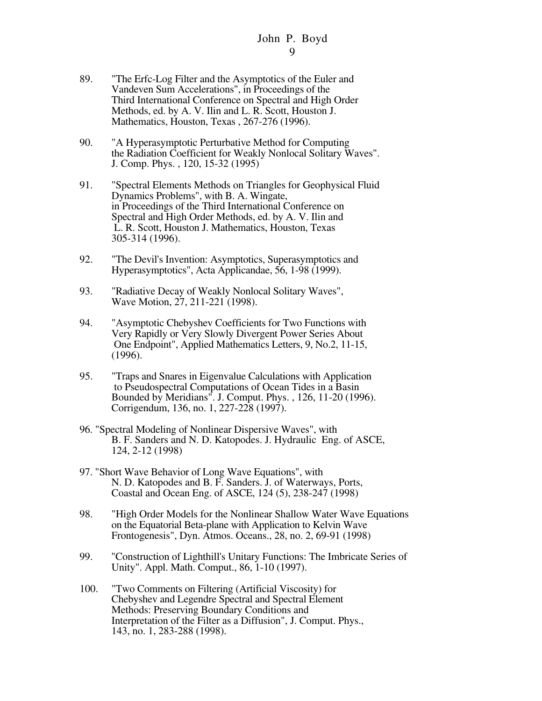- 89. "The Erfc-Log Filter and the Asymptotics of the Euler and Vandeven Sum Accelerations", in Proceedings of the Third International Conference on Spectral and High Order Methods, ed. by A. V. Ilin and L. R. Scott, Houston J. Mathematics, Houston, Texas , 267-276 (1996).
- 90. "A Hyperasymptotic Perturbative Method for Computing the Radiation Coefficient for Weakly Nonlocal Solitary Waves". J. Comp. Phys. , 120, 15-32 (1995)
- 91. "Spectral Elements Methods on Triangles for Geophysical Fluid Dynamics Problems", with B. A. Wingate, in Proceedings of the Third International Conference on Spectral and High Order Methods, ed. by A. V. Ilin and L. R. Scott, Houston J. Mathematics, Houston, Texas 305-314 (1996).
- 92. "The Devil's Invention: Asymptotics, Superasymptotics and Hyperasymptotics", Acta Applicandae, 56, 1-98 (1999).
- 93. "Radiative Decay of Weakly Nonlocal Solitary Waves", Wave Motion, 27, 211-221 (1998).
- 94. "Asymptotic Chebyshev Coefficients for Two Functions with Very Rapidly or Very Slowly Divergent Power Series About One Endpoint", Applied Mathematics Letters, 9, No.2, 11-15, (1996).
- 95. "Traps and Snares in Eigenvalue Calculations with Application to Pseudospectral Computations of Ocean Tides in a Basin Bounded by Meridians". J. Comput. Phys. , 126, 11-20 (1996). Corrigendum, 136, no. 1, 227-228 (1997).
- 96. "Spectral Modeling of Nonlinear Dispersive Waves", with B. F. Sanders and N. D. Katopodes. J. Hydraulic Eng. of ASCE, 124, 2-12 (1998)
- 97. "Short Wave Behavior of Long Wave Equations", with N. D. Katopodes and B. F. Sanders. J. of Waterways, Ports, Coastal and Ocean Eng. of ASCE, 124 (5), 238-247 (1998)
- 98. "High Order Models for the Nonlinear Shallow Water Wave Equations on the Equatorial Beta-plane with Application to Kelvin Wave Frontogenesis", Dyn. Atmos. Oceans., 28, no. 2, 69-91 (1998)
- 99. "Construction of Lighthill's Unitary Functions: The Imbricate Series of Unity". Appl. Math. Comput., 86, 1-10 (1997).
- 100. "Two Comments on Filtering (Artificial Viscosity) for Chebyshev and Legendre Spectral and Spectral Element Methods: Preserving Boundary Conditions and Interpretation of the Filter as a Diffusion", J. Comput. Phys., 143, no. 1, 283-288 (1998).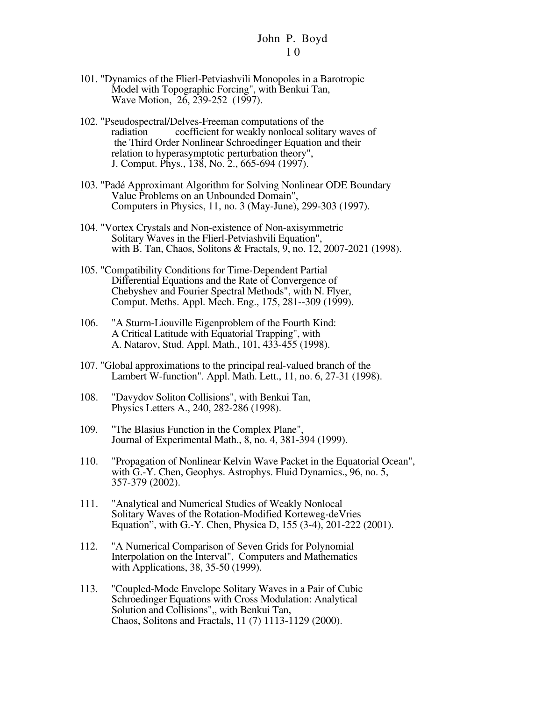- 101. "Dynamics of the Flierl-Petviashvili Monopoles in a Barotropic Model with Topographic Forcing", with Benkui Tan, Wave Motion, 26, 239-252 (1997).
- 102. "Pseudospectral/Delves-Freeman computations of the radiation coefficient for weakly nonlocal solitary waves of the Third Order Nonlinear Schroedinger Equation and their relation to hyperasymptotic perturbation theory", J. Comput. Phys., 138, No. 2., 665-694 (1997).
- 103. "Padé Approximant Algorithm for Solving Nonlinear ODE Boundary Value Problems on an Unbounded Domain", Computers in Physics, 11, no. 3 (May-June), 299-303 (1997).
- 104. "Vortex Crystals and Non-existence of Non-axisymmetric Solitary Waves in the Flierl-Petviashvili Equation", with B. Tan, Chaos, Solitons & Fractals, 9, no. 12, 2007-2021 (1998).
- 105. "Compatibility Conditions for Time-Dependent Partial Differential Equations and the Rate of Convergence of Chebyshev and Fourier Spectral Methods", with N. Flyer, Comput. Meths. Appl. Mech. Eng., 175, 281--309 (1999).
- 106. "A Sturm-Liouville Eigenproblem of the Fourth Kind: A Critical Latitude with Equatorial Trapping", with A. Natarov, Stud. Appl. Math., 101, 433-455 (1998).
- 107. "Global approximations to the principal real-valued branch of the Lambert W-function". Appl. Math. Lett., 11, no. 6, 27-31 (1998).
- 108. "Davydov Soliton Collisions", with Benkui Tan, Physics Letters A., 240, 282-286 (1998).
- 109. "The Blasius Function in the Complex Plane", Journal of Experimental Math., 8, no. 4, 381-394 (1999).
- 110. "Propagation of Nonlinear Kelvin Wave Packet in the Equatorial Ocean", with G.-Y. Chen, Geophys. Astrophys. Fluid Dynamics., 96, no. 5, 357-379 (2002).
- 111. "Analytical and Numerical Studies of Weakly Nonlocal Solitary Waves of the Rotation-Modified Korteweg-deVries Equation", with G.-Y. Chen, Physica D, 155 (3-4), 201-222 (2001).
- 112. "A Numerical Comparison of Seven Grids for Polynomial Interpolation on the Interval", Computers and Mathematics with Applications, 38, 35-50 (1999).
- 113. "Coupled-Mode Envelope Solitary Waves in a Pair of Cubic Schroedinger Equations with Cross Modulation: Analytical Solution and Collisions",, with Benkui Tan, Chaos, Solitons and Fractals, 11 (7) 1113-1129 (2000).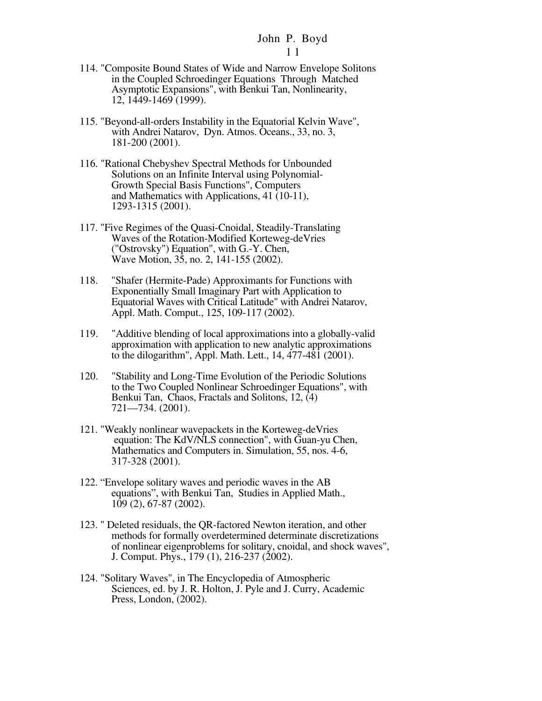- 114. "Composite Bound States of Wide and Narrow Envelope Solitons in the Coupled Schroedinger Equations Through Matched Asymptotic Expansions", with Benkui Tan, Nonlinearity, 12, 1449-1469 (1999).
- 115. "Beyond-all-orders Instability in the Equatorial Kelvin Wave", with Andrei Natarov, Dyn. Atmos. Oceans., 33, no. 3, 181-200 (2001).
- 116. "Rational Chebyshev Spectral Methods for Unbounded Solutions on an Infinite Interval using Polynomial-Growth Special Basis Functions", Computers and Mathematics with Applications, 41 (10-11), 1293-1315 (2001).
- 117. "Five Regimes of the Quasi-Cnoidal, Steadily-Translating Waves of the Rotation-Modified Korteweg-deVries ("Ostrovsky") Equation", with G.-Y. Chen, Wave Motion, 35, no. 2, 141-155 (2002).
- 118. "Shafer (Hermite-Pade) Approximants for Functions with Exponentially Small Imaginary Part with Application to Equatorial Waves with Critical Latitude" with Andrei Natarov, Appl. Math. Comput., 125, 109-117 (2002).
- 119. "Additive blending of local approximations into a globally-valid approximation with application to new analytic approximations to the dilogarithm", Appl. Math. Lett., 14, 477-481 (2001).
- 120. "Stability and Long-Time Evolution of the Periodic Solutions to the Two Coupled Nonlinear Schroedinger Equations", with Benkui Tan, Chaos, Fractals and Solitons, 12, (4) 721—734. (2001).
- 121. "Weakly nonlinear wavepackets in the Korteweg-deVries equation: The KdV/NLS connection", with Guan-yu Chen, Mathematics and Computers in. Simulation, 55, nos. 4-6, 317-328 (2001).
- 122. "Envelope solitary waves and periodic waves in the AB equations", with Benkui Tan, Studies in Applied Math., 109 (2), 67-87 (2002).
- 123. " Deleted residuals, the QR-factored Newton iteration, and other methods for formally overdetermined determinate discretizations of nonlinear eigenproblems for solitary, cnoidal, and shock waves", J. Comput. Phys., 179 (1), 216-237 (2002).
- 124. "Solitary Waves", in The Encyclopedia of Atmospheric Sciences, ed. by J. R. Holton, J. Pyle and J. Curry, Academic Press, London, (2002).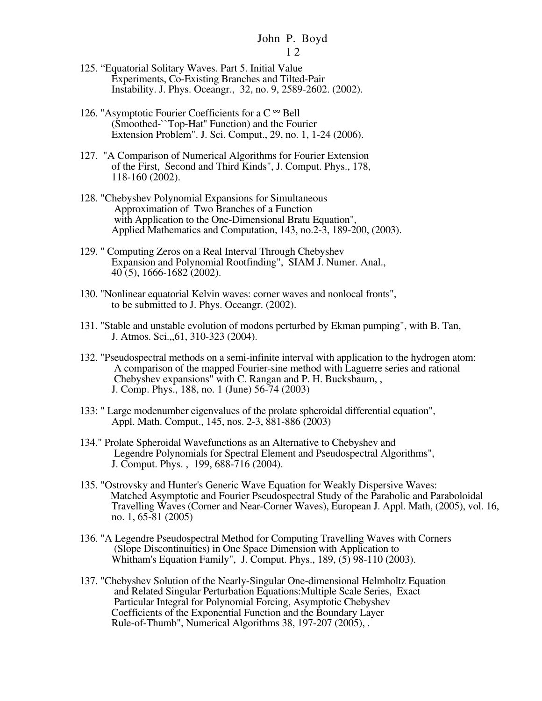- 1 2
- 125. "Equatorial Solitary Waves. Part 5. Initial Value Experiments, Co-Existing Branches and Tilted-Pair Instability. J. Phys. Oceangr., 32, no. 9, 2589-2602. (2002).
- 126. "Asymptotic Fourier Coefficients for a  $C^{\infty}$  Bell (Smoothed-``Top-Hat'' Function) and the Fourier Extension Problem". J. Sci. Comput., 29, no. 1, 1-24 (2006).
- 127. "A Comparison of Numerical Algorithms for Fourier Extension of the First, Second and Third Kinds", J. Comput. Phys., 178, 118-160 (2002).
- 128. "Chebyshev Polynomial Expansions for Simultaneous Approximation of Two Branches of a Function with Application to the One-Dimensional Bratu Equation", Applied Mathematics and Computation, 143, no.2-3, 189-200, (2003).
- 129. " Computing Zeros on a Real Interval Through Chebyshev Expansion and Polynomial Rootfinding", SIAM J. Numer. Anal., 40 (5), 1666-1682 (2002).
- 130. "Nonlinear equatorial Kelvin waves: corner waves and nonlocal fronts", to be submitted to J. Phys. Oceangr. (2002).
- 131. "Stable and unstable evolution of modons perturbed by Ekman pumping", with B. Tan, J. Atmos. Sci.,,61, 310-323 (2004).
- 132. "Pseudospectral methods on a semi-infinite interval with application to the hydrogen atom: A comparison of the mapped Fourier-sine method with Laguerre series and rational Chebyshev expansions" with C. Rangan and P. H. Bucksbaum, , J. Comp. Phys., 188, no. 1 (June) 56-74 (2003)
- 133: " Large modenumber eigenvalues of the prolate spheroidal differential equation", Appl. Math. Comput., 145, nos. 2-3, 881-886 (2003)
- 134." Prolate Spheroidal Wavefunctions as an Alternative to Chebyshev and Legendre Polynomials for Spectral Element and Pseudospectral Algorithms", J. Comput. Phys. , 199, 688-716 (2004).
- 135. "Ostrovsky and Hunter's Generic Wave Equation for Weakly Dispersive Waves: Matched Asymptotic and Fourier Pseudospectral Study of the Parabolic and Paraboloidal Travelling Waves (Corner and Near-Corner Waves), European J. Appl. Math, (2005), vol. 16, no. 1, 65-81 (2005)
- 136. "A Legendre Pseudospectral Method for Computing Travelling Waves with Corners (Slope Discontinuities) in One Space Dimension with Application to Whitham's Equation Family", J. Comput. Phys., 189, (5) 98-110 (2003).
- 137. "Chebyshev Solution of the Nearly-Singular One-dimensional Helmholtz Equation and Related Singular Perturbation Equations:Multiple Scale Series, Exact Particular Integral for Polynomial Forcing, Asymptotic Chebyshev Coefficients of the Exponential Function and the Boundary Layer Rule-of-Thumb", Numerical Algorithms 38, 197-207 (2005), .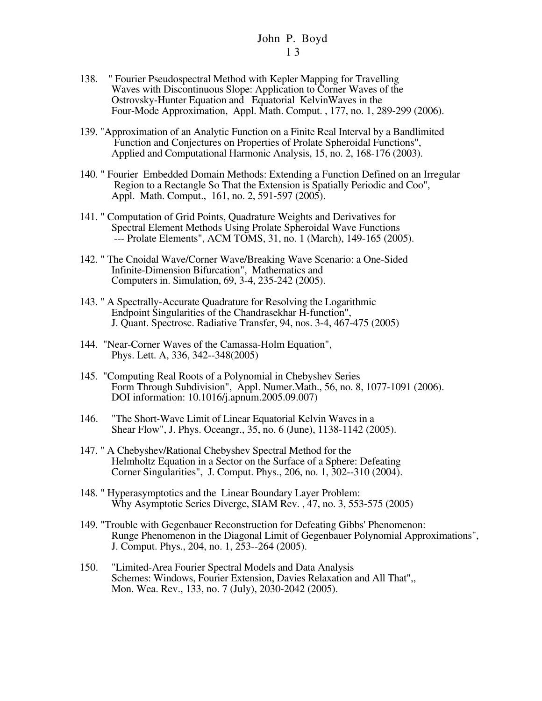- 138. " Fourier Pseudospectral Method with Kepler Mapping for Travelling Waves with Discontinuous Slope: Application to Corner Waves of the Ostrovsky-Hunter Equation and Equatorial KelvinWaves in the Four-Mode Approximation, Appl. Math. Comput. , 177, no. 1, 289-299 (2006).
- 139. "Approximation of an Analytic Function on a Finite Real Interval by a Bandlimited Function and Conjectures on Properties of Prolate Spheroidal Functions", Applied and Computational Harmonic Analysis, 15, no. 2, 168-176 (2003).
- 140. " Fourier Embedded Domain Methods: Extending a Function Defined on an Irregular Region to a Rectangle So That the Extension is Spatially Periodic and Coo", Appl. Math. Comput., 161, no. 2, 591-597 (2005).
- 141. " Computation of Grid Points, Quadrature Weights and Derivatives for Spectral Element Methods Using Prolate Spheroidal Wave Functions --- Prolate Elements", ACM TOMS, 31, no. 1 (March), 149-165 (2005).
- 142. " The Cnoidal Wave/Corner Wave/Breaking Wave Scenario: a One-Sided Infinite-Dimension Bifurcation", Mathematics and Computers in. Simulation, 69, 3-4, 235-242 (2005).
- 143. " A Spectrally-Accurate Quadrature for Resolving the Logarithmic Endpoint Singularities of the Chandrasekhar H-function", J. Quant. Spectrosc. Radiative Transfer, 94, nos. 3-4, 467-475 (2005)
- 144. "Near-Corner Waves of the Camassa-Holm Equation", Phys. Lett. A, 336, 342--348(2005)
- 145. "Computing Real Roots of a Polynomial in Chebyshev Series Form Through Subdivision", Appl. Numer.Math., 56, no. 8, 1077-1091 (2006). DOI information: 10.1016/j.apnum.2005.09.007)
- 146. "The Short-Wave Limit of Linear Equatorial Kelvin Waves in a Shear Flow", J. Phys. Oceangr., 35, no. 6 (June), 1138-1142 (2005).
- 147. " A Chebyshev/Rational Chebyshev Spectral Method for the Helmholtz Equation in a Sector on the Surface of a Sphere: Defeating Corner Singularities", J. Comput. Phys., 206, no. 1, 302--310 (2004).
- 148. " Hyperasymptotics and the Linear Boundary Layer Problem: Why Asymptotic Series Diverge, SIAM Rev. , 47, no. 3, 553-575 (2005)
- 149. "Trouble with Gegenbauer Reconstruction for Defeating Gibbs' Phenomenon: Runge Phenomenon in the Diagonal Limit of Gegenbauer Polynomial Approximations", J. Comput. Phys., 204, no. 1, 253--264 (2005).
- 150. "Limited-Area Fourier Spectral Models and Data Analysis Schemes: Windows, Fourier Extension, Davies Relaxation and All That",, Mon. Wea. Rev., 133, no. 7 (July), 2030-2042 (2005).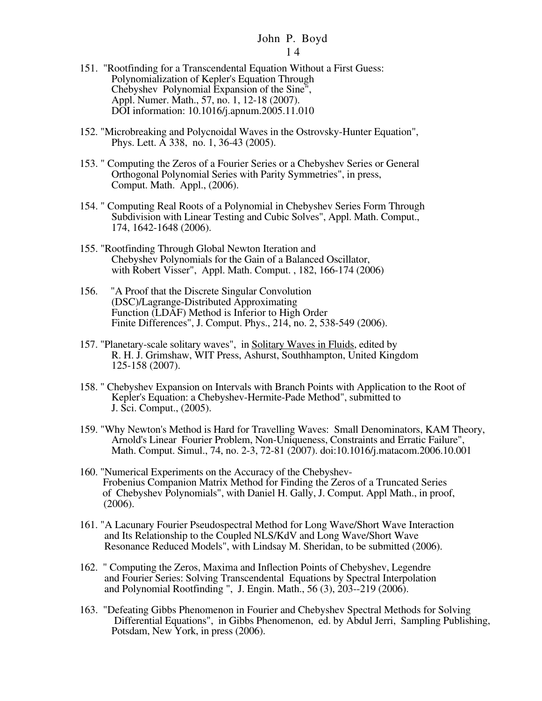- 151. "Rootfinding for a Transcendental Equation Without a First Guess: Polynomialization of Kepler's Equation Through Chebyshev Polynomial Expansion of the Sine", Appl. Numer. Math., 57, no. 1, 12-18 (2007). DOI information: 10.1016/j.apnum.2005.11.010
- 152. "Microbreaking and Polycnoidal Waves in the Ostrovsky-Hunter Equation", Phys. Lett. A 338, no. 1, 36-43 (2005).
- 153. " Computing the Zeros of a Fourier Series or a Chebyshev Series or General Orthogonal Polynomial Series with Parity Symmetries", in press, Comput. Math. Appl., (2006).
- 154. " Computing Real Roots of a Polynomial in Chebyshev Series Form Through Subdivision with Linear Testing and Cubic Solves", Appl. Math. Comput., 174, 1642-1648 (2006).
- 155. "Rootfinding Through Global Newton Iteration and Chebyshev Polynomials for the Gain of a Balanced Oscillator, with Robert Visser", Appl. Math. Comput. , 182, 166-174 (2006)
- 156. "A Proof that the Discrete Singular Convolution (DSC)/Lagrange-Distributed Approximating Function (LDAF) Method is Inferior to High Order Finite Differences", J. Comput. Phys., 214, no. 2, 538-549 (2006).
- 157. "Planetary-scale solitary waves", in Solitary Waves in Fluids, edited by R. H. J. Grimshaw, WIT Press, Ashurst, Southhampton, United Kingdom 125-158 (2007).
- 158. " Chebyshev Expansion on Intervals with Branch Points with Application to the Root of Kepler's Equation: a Chebyshev-Hermite-Pade Method", submitted to J. Sci. Comput., (2005).
- 159. "Why Newton's Method is Hard for Travelling Waves: Small Denominators, KAM Theory, Arnold's Linear Fourier Problem, Non-Uniqueness, Constraints and Erratic Failure", Math. Comput. Simul., 74, no. 2-3, 72-81 (2007). doi:10.1016/j.matacom.2006.10.001
- 160. "Numerical Experiments on the Accuracy of the Chebyshev- Frobenius Companion Matrix Method for Finding the Zeros of a Truncated Series of Chebyshev Polynomials", with Daniel H. Gally, J. Comput. Appl Math., in proof, (2006).
- 161. "A Lacunary Fourier Pseudospectral Method for Long Wave/Short Wave Interaction and Its Relationship to the Coupled NLS/KdV and Long Wave/Short Wave Resonance Reduced Models", with Lindsay M. Sheridan, to be submitted (2006).
- 162. " Computing the Zeros, Maxima and Inflection Points of Chebyshev, Legendre and Fourier Series: Solving Transcendental Equations by Spectral Interpolation and Polynomial Rootfinding ", J. Engin. Math., 56 (3), 203--219 (2006).
- 163. "Defeating Gibbs Phenomenon in Fourier and Chebyshev Spectral Methods for Solving Differential Equations", in Gibbs Phenomenon, ed. by Abdul Jerri, Sampling Publishing, Potsdam, New York, in press (2006).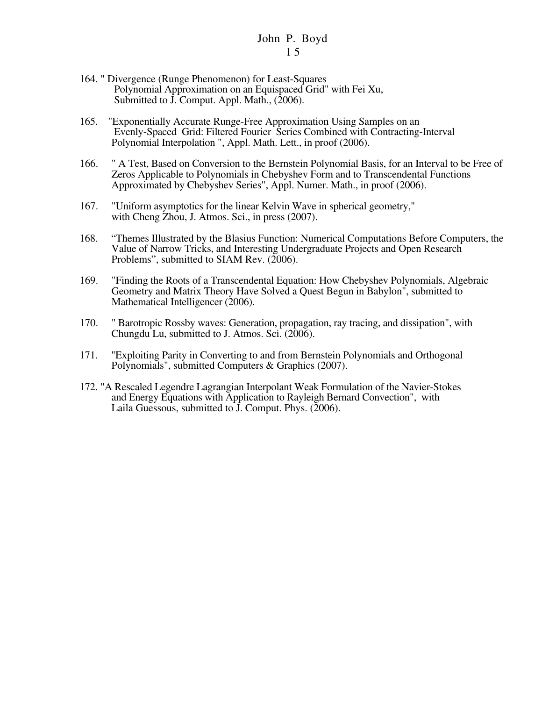- 164. " Divergence (Runge Phenomenon) for Least-Squares Polynomial Approximation on an Equispaced Grid" with Fei Xu, Submitted to J. Comput. Appl. Math., (2006).
- 165. "Exponentially Accurate Runge-Free Approximation Using Samples on an Evenly-Spaced Grid: Filtered Fourier Series Combined with Contracting-Interval Polynomial Interpolation ", Appl. Math. Lett., in proof (2006).
- 166. " A Test, Based on Conversion to the Bernstein Polynomial Basis, for an Interval to be Free of Zeros Applicable to Polynomials in Chebyshev Form and to Transcendental Functions Approximated by Chebyshev Series", Appl. Numer. Math., in proof (2006).
- 167. "Uniform asymptotics for the linear Kelvin Wave in spherical geometry," with Cheng Zhou, J. Atmos. Sci., in press (2007).
- 168. "Themes Illustrated by the Blasius Function: Numerical Computations Before Computers, the Value of Narrow Tricks, and Interesting Undergraduate Projects and Open Research Problems", submitted to SIAM Rev. (2006).
- 169. "Finding the Roots of a Transcendental Equation: How Chebyshev Polynomials, Algebraic Geometry and Matrix Theory Have Solved a Quest Begun in Babylon", submitted to Mathematical Intelligencer (2006).
- 170. " Barotropic Rossby waves: Generation, propagation, ray tracing, and dissipation", with Chungdu Lu, submitted to J. Atmos. Sci. (2006).
- 171. "Exploiting Parity in Converting to and from Bernstein Polynomials and Orthogonal Polynomials", submitted Computers & Graphics (2007).
- 172. "A Rescaled Legendre Lagrangian Interpolant Weak Formulation of the Navier-Stokes and Energy Equations with Application to Rayleigh Bernard Convection", with Laila Guessous, submitted to J. Comput. Phys. (2006).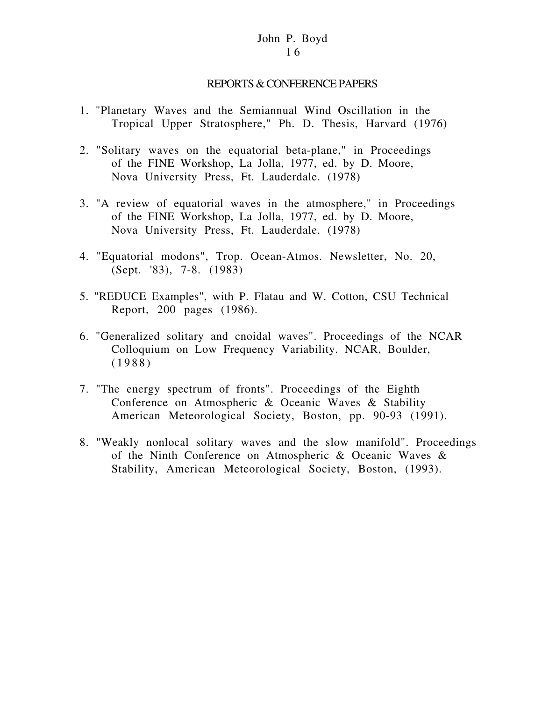## REPORTS & CONFERENCE PAPERS

- 1. "Planetary Waves and the Semiannual Wind Oscillation in the Tropical Upper Stratosphere," Ph. D. Thesis, Harvard (1976)
- 2. "Solitary waves on the equatorial beta-plane," in Proceedings of the FINE Workshop, La Jolla, 1977, ed. by D. Moore, Nova University Press, Ft. Lauderdale. (1978)
- 3. "A review of equatorial waves in the atmosphere," in Proceedings of the FINE Workshop, La Jolla, 1977, ed. by D. Moore, Nova University Press, Ft. Lauderdale. (1978)
- 4. "Equatorial modons", Trop. Ocean-Atmos. Newsletter, No. 20, (Sept. '83), 7-8. (1983)
- 5. "REDUCE Examples", with P. Flatau and W. Cotton, CSU Technical Report, 200 pages (1986).
- 6. "Generalized solitary and cnoidal waves". Proceedings of the NCAR Colloquium on Low Frequency Variability. NCAR, Boulder, (1988)
- 7. "The energy spectrum of fronts". Proceedings of the Eighth Conference on Atmospheric & Oceanic Waves & Stability American Meteorological Society, Boston, pp. 90-93 (1991).
- 8. "Weakly nonlocal solitary waves and the slow manifold". Proceedings of the Ninth Conference on Atmospheric & Oceanic Waves & Stability, American Meteorological Society, Boston, (1993).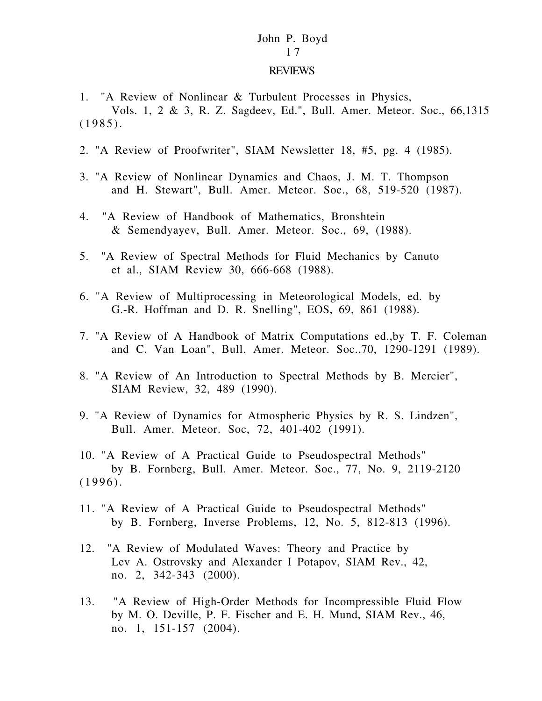#### REVIEWS

1. "A Review of Nonlinear & Turbulent Processes in Physics, Vols. 1, 2 & 3, R. Z. Sagdeev, Ed.", Bull. Amer. Meteor. Soc., 66,1315 (1985).

- 2. "A Review of Proofwriter", SIAM Newsletter 18, #5, pg. 4 (1985).
- 3. "A Review of Nonlinear Dynamics and Chaos, J. M. T. Thompson and H. Stewart", Bull. Amer. Meteor. Soc., 68, 519-520 (1987).
- 4. "A Review of Handbook of Mathematics, Bronshtein & Semendyayev, Bull. Amer. Meteor. Soc., 69, (1988).
- 5. "A Review of Spectral Methods for Fluid Mechanics by Canuto et al., SIAM Review 30, 666-668 (1988).
- 6. "A Review of Multiprocessing in Meteorological Models, ed. by G.-R. Hoffman and D. R. Snelling", EOS, 69, 861 (1988).
- 7. "A Review of A Handbook of Matrix Computations ed.,by T. F. Coleman and C. Van Loan", Bull. Amer. Meteor. Soc.,70, 1290-1291 (1989).
- 8. "A Review of An Introduction to Spectral Methods by B. Mercier", SIAM Review, 32, 489 (1990).
- 9. "A Review of Dynamics for Atmospheric Physics by R. S. Lindzen", Bull. Amer. Meteor. Soc, 72, 401-402 (1991).
- 10. "A Review of A Practical Guide to Pseudospectral Methods" by B. Fornberg, Bull. Amer. Meteor. Soc., 77, No. 9, 2119-2120 (1996).
- 11. "A Review of A Practical Guide to Pseudospectral Methods" by B. Fornberg, Inverse Problems, 12, No. 5, 812-813 (1996).
- 12. "A Review of Modulated Waves: Theory and Practice by Lev A. Ostrovsky and Alexander I Potapov, SIAM Rev., 42, no. 2, 342-343 (2000).
- 13. "A Review of High-Order Methods for Incompressible Fluid Flow by M. O. Deville, P. F. Fischer and E. H. Mund, SIAM Rev., 46, no. 1, 151-157 (2004).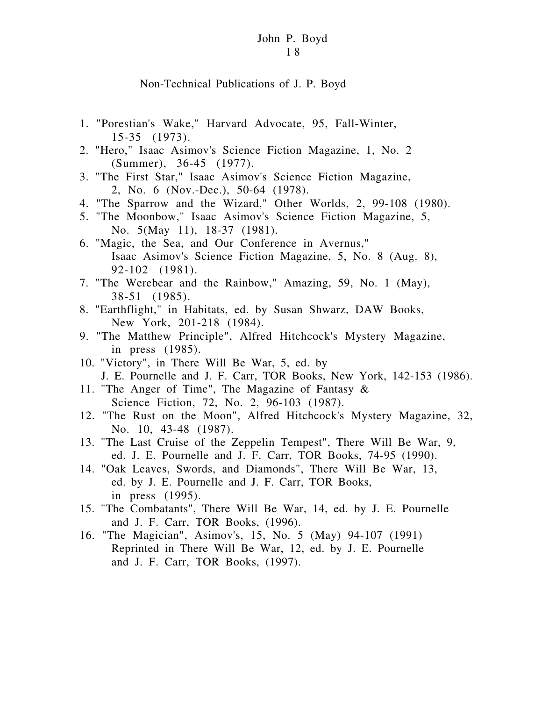#### Non-Technical Publications of J. P. Boyd

- 1. "Porestian's Wake," Harvard Advocate, 95, Fall-Winter, 15-35 (1973).
- 2. "Hero," Isaac Asimov's Science Fiction Magazine, 1, No. 2 (Summer), 36-45 (1977).
- 3. "The First Star," Isaac Asimov's Science Fiction Magazine, 2, No. 6 (Nov.-Dec.), 50-64 (1978).
- 4. "The Sparrow and the Wizard," Other Worlds, 2, 99-108 (1980).
- 5. "The Moonbow," Isaac Asimov's Science Fiction Magazine, 5, No. 5(May 11), 18-37 (1981).
- 6. "Magic, the Sea, and Our Conference in Avernus," Isaac Asimov's Science Fiction Magazine, 5, No. 8 (Aug. 8), 92-102 (1981).
- 7. "The Werebear and the Rainbow," Amazing, 59, No. 1 (May), 38-51 (1985).
- 8. "Earthflight," in Habitats, ed. by Susan Shwarz, DAW Books, New York, 201-218 (1984).
- 9. "The Matthew Principle", Alfred Hitchcock's Mystery Magazine, in press (1985).
- 10. "Victory", in There Will Be War, 5, ed. by J. E. Pournelle and J. F. Carr, TOR Books, New York, 142-153 (1986).
- 11. "The Anger of Time", The Magazine of Fantasy & Science Fiction, 72, No. 2, 96-103 (1987).
- 12. "The Rust on the Moon", Alfred Hitchcock's Mystery Magazine, 32, No. 10, 43-48 (1987).
- 13. "The Last Cruise of the Zeppelin Tempest", There Will Be War, 9, ed. J. E. Pournelle and J. F. Carr, TOR Books, 74-95 (1990).
- 14. "Oak Leaves, Swords, and Diamonds", There Will Be War, 13, ed. by J. E. Pournelle and J. F. Carr, TOR Books, in press (1995).
- 15. "The Combatants", There Will Be War, 14, ed. by J. E. Pournelle and J. F. Carr, TOR Books, (1996).
- 16. "The Magician", Asimov's, 15, No. 5 (May) 94-107 (1991) Reprinted in There Will Be War, 12, ed. by J. E. Pournelle and J. F. Carr, TOR Books, (1997).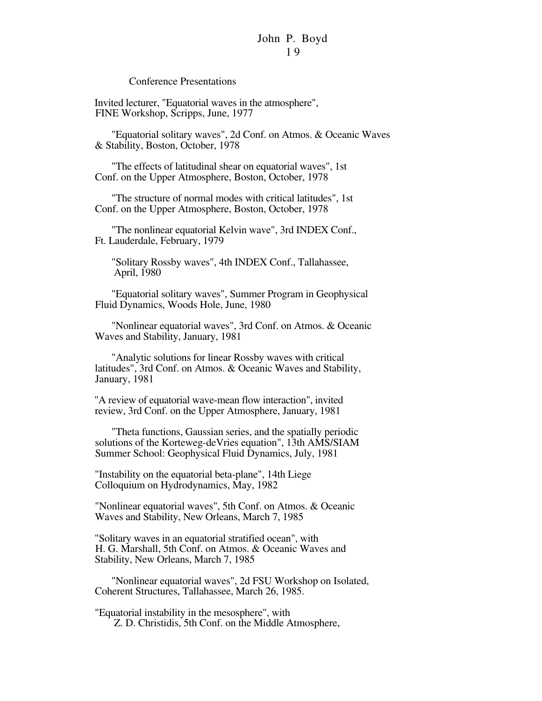Conference Presentations

 Invited lecturer, "Equatorial waves in the atmosphere", FINE Workshop, Scripps, June, 1977

"Equatorial solitary waves", 2d Conf. on Atmos. & Oceanic Waves & Stability, Boston, October, 1978

"The effects of latitudinal shear on equatorial waves", 1st Conf. on the Upper Atmosphere, Boston, October, 1978

"The structure of normal modes with critical latitudes", 1st Conf. on the Upper Atmosphere, Boston, October, 1978

"The nonlinear equatorial Kelvin wave", 3rd INDEX Conf., Ft. Lauderdale, February, 1979

"Solitary Rossby waves", 4th INDEX Conf., Tallahassee, April, 1980

"Equatorial solitary waves", Summer Program in Geophysical Fluid Dynamics, Woods Hole, June, 1980

"Nonlinear equatorial waves", 3rd Conf. on Atmos. & Oceanic Waves and Stability, January, 1981

"Analytic solutions for linear Rossby waves with critical latitudes", 3rd Conf. on Atmos. & Oceanic Waves and Stability, January, 1981

 "A review of equatorial wave-mean flow interaction", invited review, 3rd Conf. on the Upper Atmosphere, January, 1981

"Theta functions, Gaussian series, and the spatially periodic solutions of the Korteweg-deVries equation", 13th AMS/SIAM Summer School: Geophysical Fluid Dynamics, July, 1981

 "Instability on the equatorial beta-plane", 14th Liege Colloquium on Hydrodynamics, May, 1982

 "Nonlinear equatorial waves", 5th Conf. on Atmos. & Oceanic Waves and Stability, New Orleans, March 7, 1985

 "Solitary waves in an equatorial stratified ocean", with H. G. Marshall, 5th Conf. on Atmos. & Oceanic Waves and Stability, New Orleans, March 7, 1985

"Nonlinear equatorial waves", 2d FSU Workshop on Isolated, Coherent Structures, Tallahassee, March 26, 1985.

 "Equatorial instability in the mesosphere", with Z. D. Christidis, 5th Conf. on the Middle Atmosphere,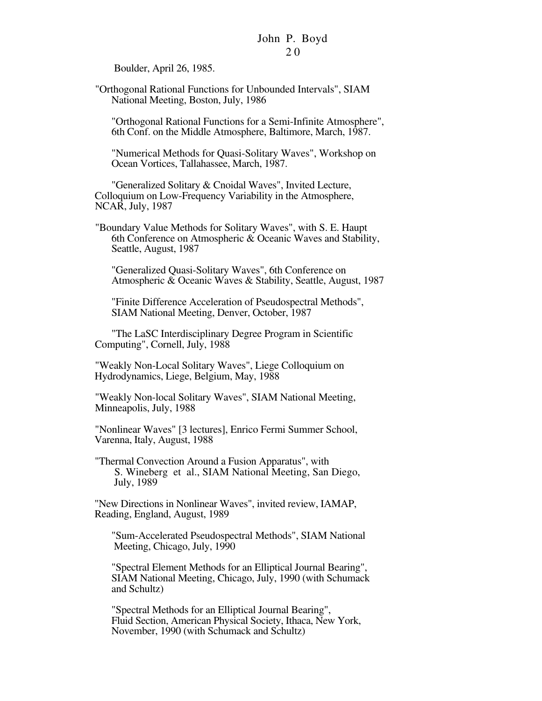Boulder, April 26, 1985.

 "Orthogonal Rational Functions for Unbounded Intervals", SIAM National Meeting, Boston, July, 1986

"Orthogonal Rational Functions for a Semi-Infinite Atmosphere", 6th Conf. on the Middle Atmosphere, Baltimore, March, 1987.

"Numerical Methods for Quasi-Solitary Waves", Workshop on Ocean Vortices, Tallahassee, March, 1987.

"Generalized Solitary & Cnoidal Waves", Invited Lecture, Colloquium on Low-Frequency Variability in the Atmosphere, NCAR, July, 1987

 "Boundary Value Methods for Solitary Waves", with S. E. Haupt 6th Conference on Atmospheric & Oceanic Waves and Stability, Seattle, August, 1987

"Generalized Quasi-Solitary Waves", 6th Conference on Atmospheric & Oceanic Waves & Stability, Seattle, August, 1987

"Finite Difference Acceleration of Pseudospectral Methods", SIAM National Meeting, Denver, October, 1987

"The LaSC Interdisciplinary Degree Program in Scientific Computing", Cornell, July, 1988

 "Weakly Non-Local Solitary Waves", Liege Colloquium on Hydrodynamics, Liege, Belgium, May, 1988

 "Weakly Non-local Solitary Waves", SIAM National Meeting, Minneapolis, July, 1988

 "Nonlinear Waves" [3 lectures], Enrico Fermi Summer School, Varenna, Italy, August, 1988

 "Thermal Convection Around a Fusion Apparatus", with S. Wineberg et al., SIAM National Meeting, San Diego, July, 1989

 "New Directions in Nonlinear Waves", invited review, IAMAP, Reading, England, August, 1989

"Sum-Accelerated Pseudospectral Methods", SIAM National Meeting, Chicago, July, 1990

"Spectral Element Methods for an Elliptical Journal Bearing", SIAM National Meeting, Chicago, July, 1990 (with Schumack and Schultz)

"Spectral Methods for an Elliptical Journal Bearing", Fluid Section, American Physical Society, Ithaca, New York, November, 1990 (with Schumack and Schultz)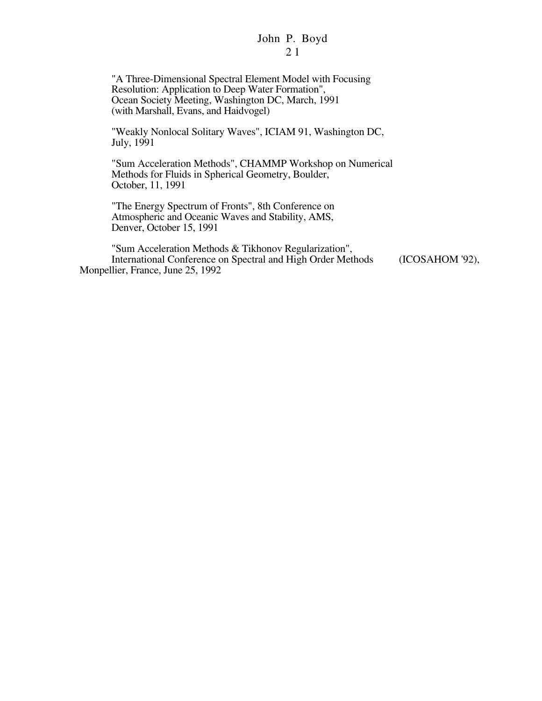"A Three-Dimensional Spectral Element Model with Focusing Resolution: Application to Deep Water Formation", Ocean Society Meeting, Washington DC, March, 1991 (with Marshall, Evans, and Haidvogel)

"Weakly Nonlocal Solitary Waves", ICIAM 91, Washington DC, July, 1991

"Sum Acceleration Methods", CHAMMP Workshop on Numerical Methods for Fluids in Spherical Geometry, Boulder, October, 11, 1991

"The Energy Spectrum of Fronts", 8th Conference on Atmospheric and Oceanic Waves and Stability, AMS, Denver, October 15, 1991

"Sum Acceleration Methods & Tikhonov Regularization", International Conference on Spectral and High Order Methods (ICOSAHOM '92), Monpellier, France, June 25, 1992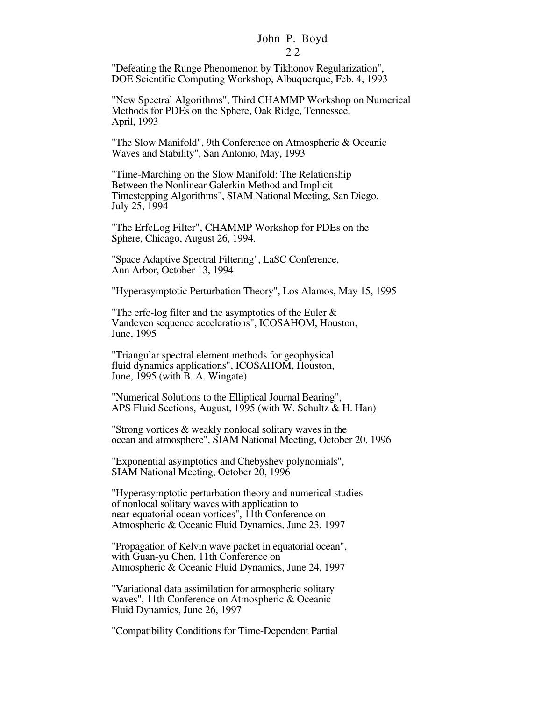#### 2 2

"Defeating the Runge Phenomenon by Tikhonov Regularization", DOE Scientific Computing Workshop, Albuquerque, Feb. 4, 1993

"New Spectral Algorithms", Third CHAMMP Workshop on Numerical Methods for PDEs on the Sphere, Oak Ridge, Tennessee, April, 1993

"The Slow Manifold", 9th Conference on Atmospheric & Oceanic Waves and Stability", San Antonio, May, 1993

"Time-Marching on the Slow Manifold: The Relationship Between the Nonlinear Galerkin Method and Implicit Timestepping Algorithms", SIAM National Meeting, San Diego, July 25, 1994

"The ErfcLog Filter", CHAMMP Workshop for PDEs on the Sphere, Chicago, August 26, 1994.

"Space Adaptive Spectral Filtering", LaSC Conference, Ann Arbor, October 13, 1994

"Hyperasymptotic Perturbation Theory", Los Alamos, May 15, 1995

"The erfc-log filter and the asymptotics of the Euler & Vandeven sequence accelerations", ICOSAHOM, Houston, June, 1995

"Triangular spectral element methods for geophysical fluid dynamics applications", ICOSAHOM, Houston, June, 1995 (with B. A. Wingate)

"Numerical Solutions to the Elliptical Journal Bearing", APS Fluid Sections, August, 1995 (with W. Schultz & H. Han)

"Strong vortices & weakly nonlocal solitary waves in the ocean and atmosphere", SIAM National Meeting, October 20, 1996

"Exponential asymptotics and Chebyshev polynomials", SIAM National Meeting, October 20, 1996

"Hyperasymptotic perturbation theory and numerical studies of nonlocal solitary waves with application to near-equatorial ocean vortices", 11th Conference on Atmospheric & Oceanic Fluid Dynamics, June 23, 1997

"Propagation of Kelvin wave packet in equatorial ocean", with Guan-yu Chen, 11th Conference on Atmospheric & Oceanic Fluid Dynamics, June 24, 1997

"Variational data assimilation for atmospheric solitary waves", 11th Conference on Atmospheric & Oceanic Fluid Dynamics, June 26, 1997

"Compatibility Conditions for Time-Dependent Partial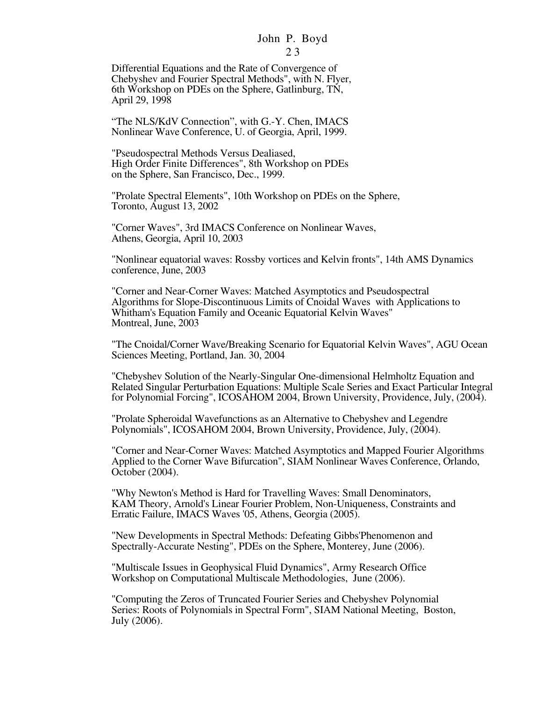2 3

Differential Equations and the Rate of Convergence of Chebyshev and Fourier Spectral Methods", with N. Flyer, 6th Workshop on PDEs on the Sphere, Gatlinburg, TN, April 29, 1998

"The NLS/KdV Connection", with G.-Y. Chen, IMACS Nonlinear Wave Conference, U. of Georgia, April, 1999.

"Pseudospectral Methods Versus Dealiased, High Order Finite Differences", 8th Workshop on PDEs on the Sphere, San Francisco, Dec., 1999.

"Prolate Spectral Elements", 10th Workshop on PDEs on the Sphere, Toronto, August 13, 2002

"Corner Waves", 3rd IMACS Conference on Nonlinear Waves, Athens, Georgia, April 10, 2003

"Nonlinear equatorial waves: Rossby vortices and Kelvin fronts", 14th AMS Dynamics conference, June, 2003

"Corner and Near-Corner Waves: Matched Asymptotics and Pseudospectral Algorithms for Slope-Discontinuous Limits of Cnoidal Waves with Applications to Whitham's Equation Family and Oceanic Equatorial Kelvin Waves" Montreal, June, 2003

"The Cnoidal/Corner Wave/Breaking Scenario for Equatorial Kelvin Waves", AGU Ocean Sciences Meeting, Portland, Jan. 30, 2004

"Chebyshev Solution of the Nearly-Singular One-dimensional Helmholtz Equation and Related Singular Perturbation Equations: Multiple Scale Series and Exact Particular Integral for Polynomial Forcing", ICOSAHOM 2004, Brown University, Providence, July, (2004).

"Prolate Spheroidal Wavefunctions as an Alternative to Chebyshev and Legendre Polynomials", ICOSAHOM 2004, Brown University, Providence, July, (2004).

"Corner and Near-Corner Waves: Matched Asymptotics and Mapped Fourier Algorithms Applied to the Corner Wave Bifurcation", SIAM Nonlinear Waves Conference, Orlando, October (2004).

"Why Newton's Method is Hard for Travelling Waves: Small Denominators, KAM Theory, Arnold's Linear Fourier Problem, Non-Uniqueness, Constraints and Erratic Failure, IMACS Waves '05, Athens, Georgia (2005).

"New Developments in Spectral Methods: Defeating Gibbs'Phenomenon and Spectrally-Accurate Nesting", PDEs on the Sphere, Monterey, June (2006).

"Multiscale Issues in Geophysical Fluid Dynamics", Army Research Office Workshop on Computational Multiscale Methodologies, June (2006).

"Computing the Zeros of Truncated Fourier Series and Chebyshev Polynomial Series: Roots of Polynomials in Spectral Form", SIAM National Meeting, Boston, July (2006).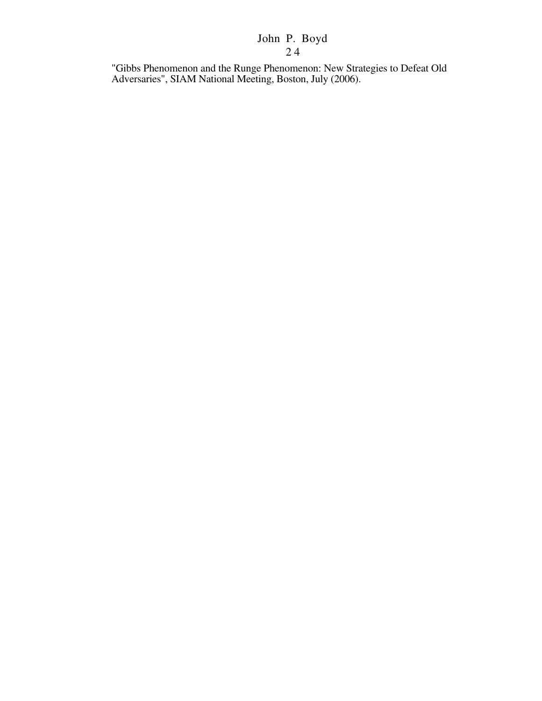"Gibbs Phenomenon and the Runge Phenomenon: New Strategies to Defeat Old Adversaries", SIAM National Meeting, Boston, July (2006).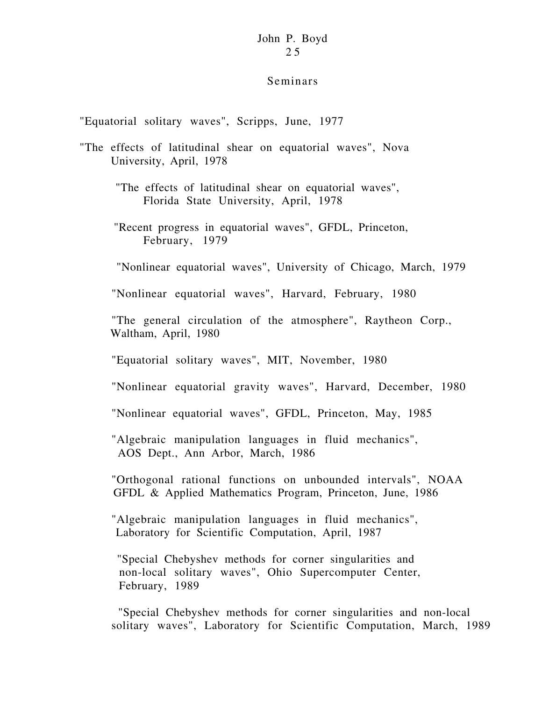### Seminars

"Equatorial solitary waves", Scripps, June, 1977

- "The effects of latitudinal shear on equatorial waves", Nova University, April, 1978
	- "The effects of latitudinal shear on equatorial waves", Florida State University, April, 1978
	- "Recent progress in equatorial waves", GFDL, Princeton, February, 1979

"Nonlinear equatorial waves", University of Chicago, March, 1979

"Nonlinear equatorial waves", Harvard, February, 1980

"The general circulation of the atmosphere", Raytheon Corp., Waltham, April, 1980

"Equatorial solitary waves", MIT, November, 1980

"Nonlinear equatorial gravity waves", Harvard, December, 1980

"Nonlinear equatorial waves", GFDL, Princeton, May, 1985

"Algebraic manipulation languages in fluid mechanics", AOS Dept., Ann Arbor, March, 1986

"Orthogonal rational functions on unbounded intervals", NOAA GFDL & Applied Mathematics Program, Princeton, June, 1986

"Algebraic manipulation languages in fluid mechanics", Laboratory for Scientific Computation, April, 1987

 "Special Chebyshev methods for corner singularities and non-local solitary waves", Ohio Supercomputer Center, February, 1989

 "Special Chebyshev methods for corner singularities and non-local solitary waves", Laboratory for Scientific Computation, March, 1989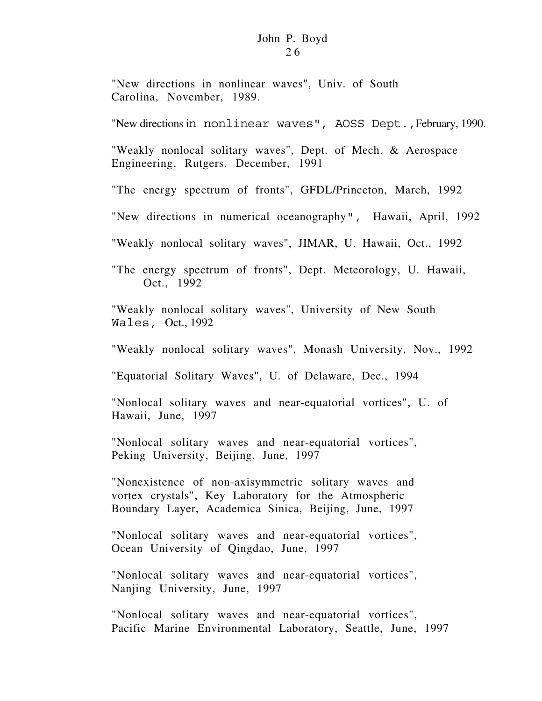"New directions in nonlinear waves", Univ. of South Carolina, November, 1989.

"New directions in nonlinear waves", AOSS Dept.,February, 1990.

"Weakly nonlocal solitary waves", Dept. of Mech. & Aerospace Engineering, Rutgers, December, 1991

"The energy spectrum of fronts", GFDL/Princeton, March, 1992

"New directions in numerical oceanography", Hawaii, April, 1992

"Weakly nonlocal solitary waves", JIMAR, U. Hawaii, Oct., 1992

"The energy spectrum of fronts", Dept. Meteorology, U. Hawaii, Oct., 1992

"Weakly nonlocal solitary waves", University of New South Wales, Oct., 1992

"Weakly nonlocal solitary waves", Monash University, Nov., 1992

"Equatorial Solitary Waves", U. of Delaware, Dec., 1994

"Nonlocal solitary waves and near-equatorial vortices", U. of Hawaii, June, 1997

"Nonlocal solitary waves and near-equatorial vortices", Peking University, Beijing, June, 1997

"Nonexistence of non-axisymmetric solitary waves and vortex crystals", Key Laboratory for the Atmospheric Boundary Layer, Academica Sinica, Beijing, June, 1997

"Nonlocal solitary waves and near-equatorial vortices", Ocean University of Qingdao, June, 1997

"Nonlocal solitary waves and near-equatorial vortices", Nanjing University, June, 1997

"Nonlocal solitary waves and near-equatorial vortices", Pacific Marine Environmental Laboratory, Seattle, June, 1997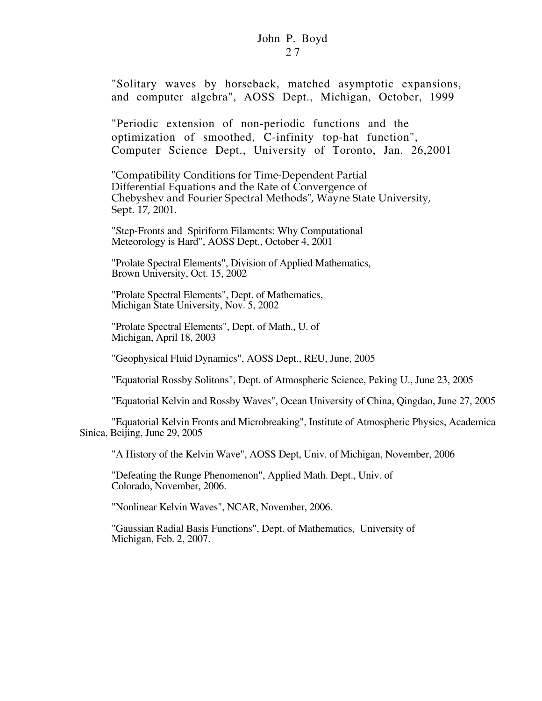"Solitary waves by horseback, matched asymptotic expansions, and computer algebra", AOSS Dept., Michigan, October, 1999

"Periodic extension of non-periodic functions and the optimization of smoothed, C-infinity top-hat function", Computer Science Dept., University of Toronto, Jan. 26,2001

"Compatibility Conditions for Time-Dependent Partial Differential Equations and the Rate of Convergence of Chebyshev and Fourier Spectral Methods", Wayne State University, Sept. 17, 2001.

"Step-Fronts and Spiriform Filaments: Why Computational Meteorology is Hard", AOSS Dept., October 4, 2001

"Prolate Spectral Elements", Division of Applied Mathematics, Brown University, Oct. 15, 2002

"Prolate Spectral Elements", Dept. of Mathematics, Michigan State University, Nov. 5, 2002

"Prolate Spectral Elements", Dept. of Math., U. of Michigan, April 18, 2003

"Geophysical Fluid Dynamics", AOSS Dept., REU, June, 2005

"Equatorial Rossby Solitons", Dept. of Atmospheric Science, Peking U., June 23, 2005

"Equatorial Kelvin and Rossby Waves", Ocean University of China, Qingdao, June 27, 2005

"Equatorial Kelvin Fronts and Microbreaking", Institute of Atmospheric Physics, Academica Sinica, Beijing, June 29, 2005

"A History of the Kelvin Wave", AOSS Dept, Univ. of Michigan, November, 2006

"Defeating the Runge Phenomenon", Applied Math. Dept., Univ. of Colorado, November, 2006.

"Nonlinear Kelvin Waves", NCAR, November, 2006.

"Gaussian Radial Basis Functions", Dept. of Mathematics, University of Michigan, Feb. 2, 2007.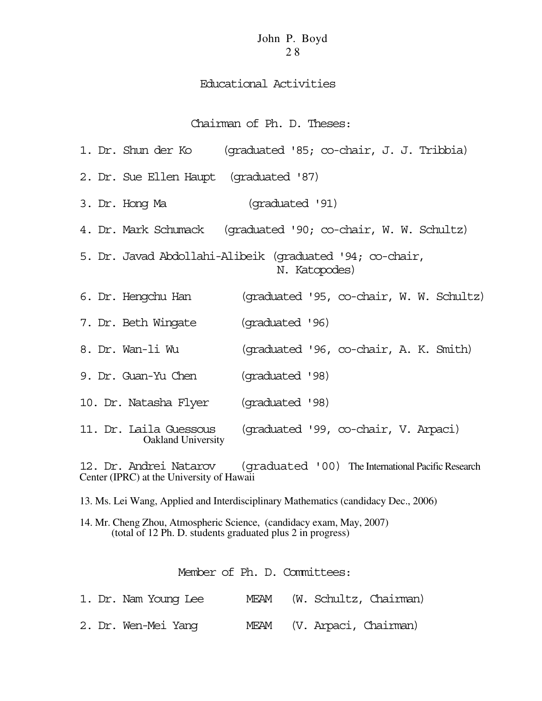## Educational Activities

## Chairman of Ph. D. Theses:

| 1. Dr. Shun der Ko                                                        | (graduated '85; co-chair, J. J. Tribbia)                      |  |  |  |  |  |  |
|---------------------------------------------------------------------------|---------------------------------------------------------------|--|--|--|--|--|--|
| 2. Dr. Sue Ellen Haupt (graduated '87)                                    |                                                               |  |  |  |  |  |  |
| 3. Dr. Hong Ma                                                            | (graduated '91)                                               |  |  |  |  |  |  |
|                                                                           | 4. Dr. Mark Schumack (graduated '90; co-chair, W. W. Schultz) |  |  |  |  |  |  |
| 5. Dr. Javad Abdollahi-Alibeik (graduated '94; co-chair,<br>N. Katopodes) |                                                               |  |  |  |  |  |  |
| 6. Dr. Hengchu Han                                                        | (graduated '95, co-chair, W. W. Schultz)                      |  |  |  |  |  |  |
| 7. Dr. Beth Wingate                                                       | (graduated '96)                                               |  |  |  |  |  |  |
| 8. Dr. Wan-li Wu                                                          | (graduated '96, co-chair, A. K. Smith)                        |  |  |  |  |  |  |
| 9. Dr. Guan-Yu Chen                                                       | (graduated '98)                                               |  |  |  |  |  |  |
| 10. Dr. Natasha Flyer                                                     | (graduated '98)                                               |  |  |  |  |  |  |
| 11. Dr. Laila Guessous<br><b>Oakland University</b>                       | (graduated '99, co-chair, V. Arpaci)                          |  |  |  |  |  |  |

12. Dr. Andrei Natarov (graduated '00) The International Pacific Research Center (IPRC) at the University of Hawaii

13. Ms. Lei Wang, Applied and Interdisciplinary Mathematics (candidacy Dec., 2006)

14. Mr. Cheng Zhou, Atmospheric Science, (candidacy exam, May, 2007) (total of 12 Ph. D. students graduated plus 2 in progress)

## Member of Ph. D. Committees:

|  | 1. Dr. Nam Young Lee |  |  | MEAM (W. Schultz, Chairman) |
|--|----------------------|--|--|-----------------------------|
|  | 2. Dr. Wen-Mei Yang  |  |  | MEAM (V. Arpaci, Chairman)  |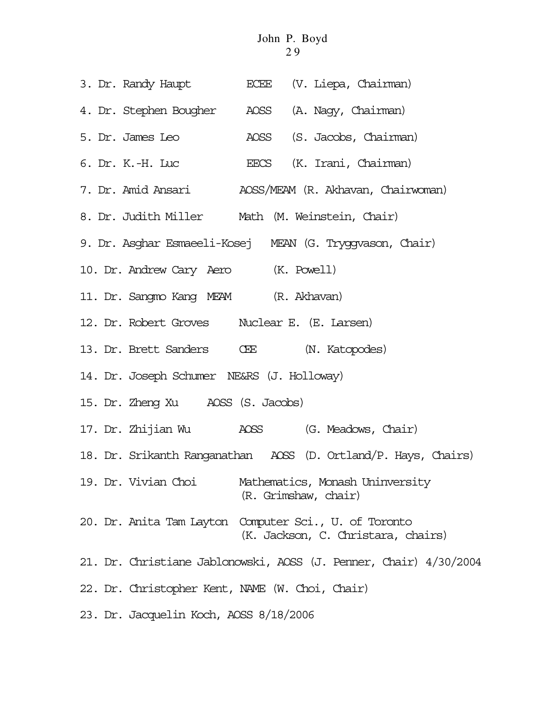- 3. Dr. Randy Haupt ECEE (V. Liepa, Chairman)
- 4. Dr. Stephen Bougher AOSS (A. Nagy, Chairman)
- 5. Dr. James Leo AOSS (S. Jacobs, Chairman)
- 6. Dr. K.-H. Luc EECS (K. Irani, Chairman)
- 7. Dr. Amid Ansari AOSS/MEAM (R. Akhavan, Chairwoman)
- 8. Dr. Judith Miller Math (M. Weinstein, Chair)
- 9. Dr. Asghar Esmaeeli-Kosej MEAN (G. Tryggvason, Chair)
- 10. Dr. Andrew Cary Aero (K. Powell)
- 11. Dr. Sangmo Kang MEAM (R. Akhavan)
- 12. Dr. Robert Groves Nuclear E. (E. Larsen)
- 13. Dr. Brett Sanders CEE (N. Katopodes)
- 14. Dr. Joseph Schumer NE&RS (J. Holloway)
- 15. Dr. Zheng Xu AOSS (S. Jacobs)
- 17. Dr. Zhijian Wu AOSS (G. Meadows, Chair)
- 18. Dr. Srikanth Ranganathan AOSS (D. Ortland/P. Hays, Chairs)
- 19. Dr. Vivian Choi Mathematics, Monash Uninversity (R. Grimshaw, chair)
- 20. Dr. Anita Tam Layton Computer Sci., U. of Toronto (K. Jackson, C. Christara, chairs)
- 21. Dr. Christiane Jablonowski, AOSS (J. Penner, Chair) 4/30/2004
- 22. Dr. Christopher Kent, NAME (W. Choi, Chair)
- 23. Dr. Jacquelin Koch, AOSS 8/18/2006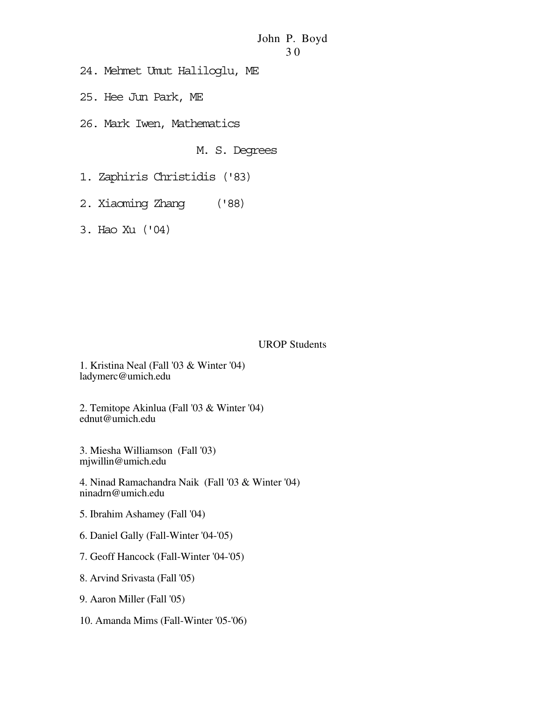- 24. Mehmet Umut Haliloglu, ME
- 25. Hee Jun Park, ME
- 26. Mark Iwen, Mathematics

M. S. Degrees

- 1. Zaphiris Christidis ('83)
- 2. Xiaoming Zhang ('88)
- 3. Hao Xu ('04)

#### UROP Students

1. Kristina Neal (Fall '03 & Winter '04) ladymerc@umich.edu

2. Temitope Akinlua (Fall '03 & Winter '04) ednut@umich.edu

3. Miesha Williamson (Fall '03) mjwillin@umich.edu

4. Ninad Ramachandra Naik (Fall '03 & Winter '04) ninadrn@umich.edu

- 5. Ibrahim Ashamey (Fall '04)
- 6. Daniel Gally (Fall-Winter '04-'05)
- 7. Geoff Hancock (Fall-Winter '04-'05)
- 8. Arvind Srivasta (Fall '05)
- 9. Aaron Miller (Fall '05)
- 10. Amanda Mims (Fall-Winter '05-'06)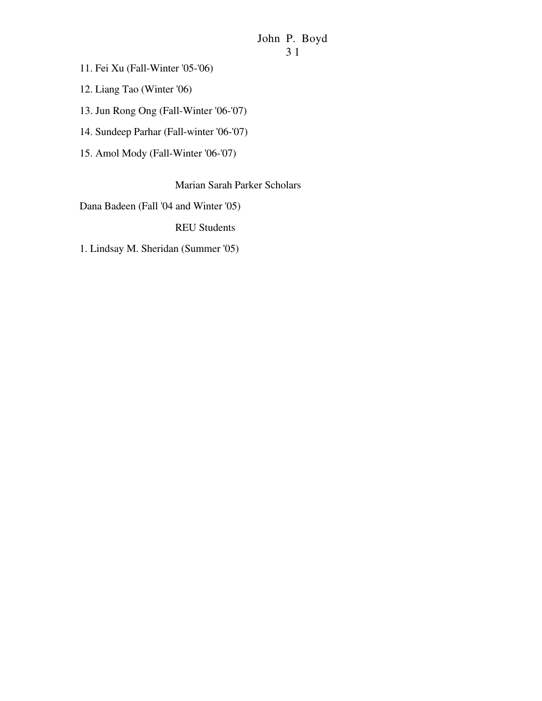3 1

11. Fei Xu (Fall-Winter '05-'06)

12. Liang Tao (Winter '06)

13. Jun Rong Ong (Fall-Winter '06-'07)

14. Sundeep Parhar (Fall-winter '06-'07)

15. Amol Mody (Fall-Winter '06-'07)

Marian Sarah Parker Scholars

Dana Badeen (Fall '04 and Winter '05)

REU Students

1. Lindsay M. Sheridan (Summer '05)